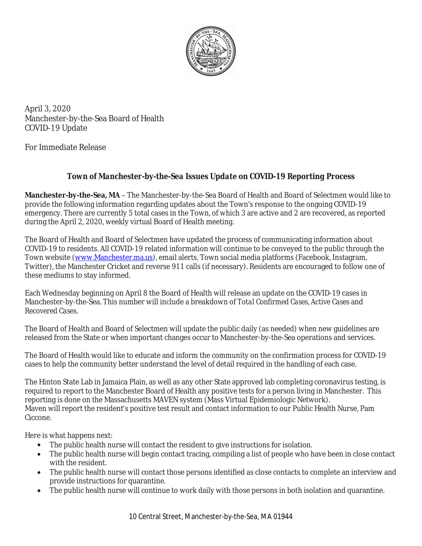

April 3, 2020 Manchester-by-the-Sea Board of Health COVID-19 Update

For Immediate Release

## *Town of Manchester-by-the-Sea Issues Update on COVID-19 Reporting Process*

**Manchester-by-the-Sea, MA** – The Manchester-by-the-Sea Board of Health and Board of Selectmen would like to provide the following information regarding updates about the Town's response to the ongoing COVID-19 emergency. There are currently 5 total cases in the Town, of which 3 are active and 2 are recovered, as reported during the April 2, 2020, weekly virtual Board of Health meeting.

The Board of Health and Board of Selectmen have updated the process of communicating information about COVID-19 to residents. All COVID-19 related information will continue to be conveyed to the public through the Town website ([www.Manchester.ma.us\)](http://www.Manchester.ma.us), email alerts, Town social media platforms (Facebook, Instagram, Twitter), the Manchester Cricket and reverse 911 calls (if necessary). Residents are encouraged to follow one of these mediums to stay informed.

Each Wednesday beginning on April 8 the Board of Health will release an update on the COVID-19 cases in Manchester-by-the-Sea. This number will include a breakdown of *Total Confirmed Cases, Active Cases* and *Recovered Cases.*

The Board of Health and Board of Selectmen will update the public daily (as needed) when new guidelines are released from the State or when important changes occur to Manchester-by-the-Sea operations and services.

The Board of Health would like to educate and inform the community on the confirmation process for COVID-19 cases to help the community better understand the level of detail required in the handling of each case.

The Hinton State Lab in Jamaica Plain, as well as any other State approved lab completing coronavirus testing, is required to report to the Manchester Board of Health any positive tests for a person living in Manchester. This reporting is done on the Massachusetts MAVEN system (Mass Virtual Epidemiologic Network). Maven will report the resident's positive test result and contact information to our Public Health Nurse, Pam Ciccone.

Here is what happens next:

- The public health nurse will contact the resident to give instructions for isolation.
- The public health nurse will begin contact tracing, compiling a list of people who have been in close contact with the resident.
- The public health nurse will contact those persons identified as close contacts to complete an interview and provide instructions for quarantine.
- The public health nurse will continue to work daily with those persons in both isolation and quarantine.